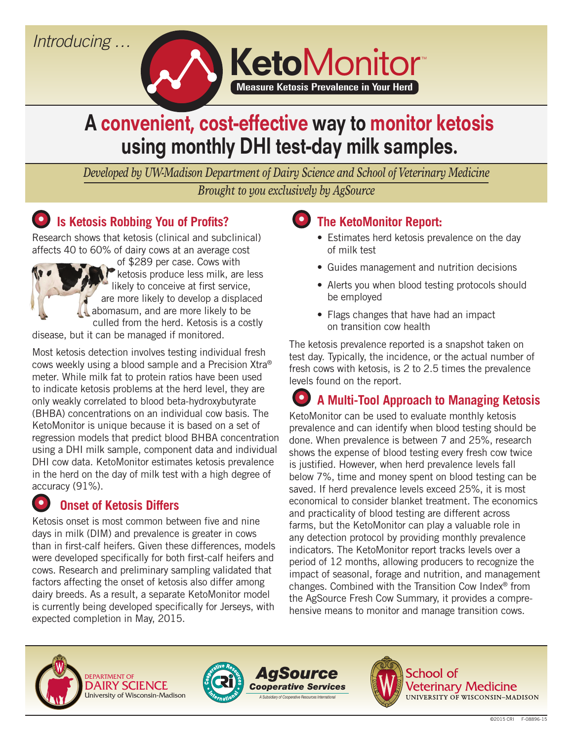## *Introducing …*



# A convenient, cost-effective way to monitor ketosis using monthly DHI test-day milk samples.

*Developed by UW-Madison Department of Dairy Science and School of Veterinary Medicine Brought to you exclusively by AgSource*

#### **• Is Ketosis Robbing You of Profits?**

Research shows that ketosis (clinical and subclinical) affects 40 to 60% of dairy cows at an average cost



disease, but it can be managed if monitored.

Most ketosis detection involves testing individual fresh cows weekly using a blood sample and a Precision Xtra® meter. While milk fat to protein ratios have been used to indicate ketosis problems at the herd level, they are only weakly correlated to blood beta-hydroxybutyrate (BHBA) concentrations on an individual cow basis. The KetoMonitor is unique because it is based on a set of regression models that predict blood BHBA concentration using a DHI milk sample, component data and individual DHI cow data. KetoMonitor estimates ketosis prevalence in the herd on the day of milk test with a high degree of accuracy (91%).

#### **•• Onset of Ketosis Differs**

Ketosis onset is most common between five and nine days in milk (DIM) and prevalence is greater in cows than in first-calf heifers. Given these differences, models were developed specifically for both first-calf heifers and cows. Research and preliminary sampling validated that factors affecting the onset of ketosis also differ among dairy breeds. As a result, a separate KetoMonitor model is currently being developed specifically for Jerseys, with expected completion in May, 2015.

#### **• The KetoMonitor Report:**

- Estimates herd ketosis prevalence on the day of milk test
- Guides management and nutrition decisions
- Alerts you when blood testing protocols should be employed
- Flags changes that have had an impact on transition cow health

The ketosis prevalence reported is a snapshot taken on test day. Typically, the incidence, or the actual number of fresh cows with ketosis, is 2 to 2.5 times the prevalence levels found on the report.

# **• A Multi-Tool Approach to Managing Ketosis**

KetoMonitor can be used to evaluate monthly ketosis prevalence and can identify when blood testing should be done. When prevalence is between 7 and 25%, research shows the expense of blood testing every fresh cow twice is justified. However, when herd prevalence levels fall below 7%, time and money spent on blood testing can be saved. If herd prevalence levels exceed 25%, it is most economical to consider blanket treatment. The economics and practicality of blood testing are different across farms, but the KetoMonitor can play a valuable role in any detection protocol by providing monthly prevalence indicators. The KetoMonitor report tracks levels over a period of 12 months, allowing producers to recognize the impact of seasonal, forage and nutrition, and management changes. Combined with the Transition Cow Index® from the AgSource Fresh Cow Summary, it provides a comprehensive means to monitor and manage transition cows.









School of Veterinary Medicine UNIVERSITY OF WISCONSIN-MADISON